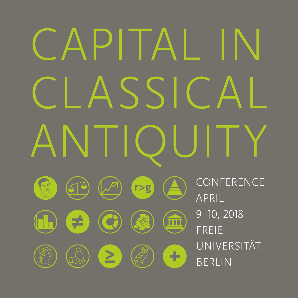## CAPITAL IN  $S_{\rm S}$ **NITU CONFERENCE**  $r > g$  $\boxed{5}$ APRIL 9–10, 2018  $\neq$ mп FREIE UNIVERSITÄT  $\geq$ ÷ BERLIN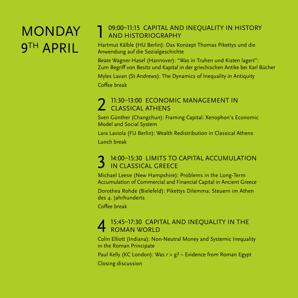### **MONDAY** 9TH APRIL

#### 1 09:00–11:15 CAPITAL AND INEQUALITY IN HISTORY AND HISTORIOGRAPHY

Hartmut Kälble (HU Berlin): Das Konzept Thomas Pikettys und die Anwendung auf die Sozialgeschichte

Beate Wagner-Hasel (Hannover): "Was in Truhen und Kisten lagert": Zum Begriff von Besitz und Kapital in der griechischen Antike bei Karl Bücher

Myles Lavan (St Andrews): The Dynamics of Inequality in Antiquity Coffee break

#### 11:30-13:00 ECONOMIC MANAGEMENT IN CLASSICAL ATHENS

Sven Günther (Changchun): Framing Capital: Xenophon's Economic Model and Social System

Lara Laviola (FU Berlin): Wealth Redistribution in Classical Athens Lunch break

### 14:00-15:30 LIMITS TO CAPITAL ACCUMULATION IN CLASSICAL GREECE

Michael Leese (New Hampshire): Problems in the Long-Term Accumulation of Commercial and Financial Capital in Ancient Greece Dorothea Rohde (Bielefeld): Pikettys Dilemma: Steuern im Athen des 4. Jahrhunderts

Coffee break

# 4 15:45–17:30 CAPITAL AND INEQUALITY IN THE ROMAN WORLD

Colin Elliott (Indiana): Non-Neutral Money and Systemic Inequality in the Roman Principate

Paul Kelly (KC London): Was  $r > g$ ? – Evidence from Roman Egypt Closing discussion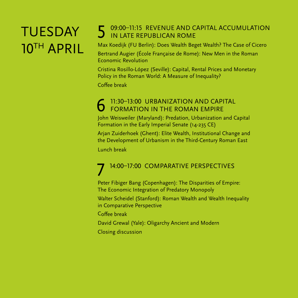## TUESDAY 10TH APRIL

#### 5 09:00–11:15 REVENUE AND CAPITAL ACCUMULATION IN LATE REPUBLICAN ROME

Max Koedijk (FU Berlin): Does Wealth Beget Wealth? The Case of Cicero Bertrand Augier (École Française de Rome): New Men in the Roman Economic Revolution

Cristina Rosillo-López (Seville): Capital, Rental Prices and Monetary Policy in the Roman World: A Measure of Inequality?

Coffee break

## 6 11:30–13:00 URBANIZATION AND CAPITAL FORMATION IN THE ROMAN EMPIRE

John Weisweiler (Maryland): Predation, Urbanization and Capital Formation in the Early Imperial Senate (14-235 CE)

Arjan Zuiderhoek (Ghent): Elite Wealth, Institutional Change and the Development of Urbanism in the Third-Century Roman East

Lunch break

## 7 14:00–17:00 COMPARATIVE PERSPECTIVES

Peter Fibiger Bang (Copenhagen): The Disparities of Empire: The Economic Integration of Predatory Monopoly

Walter Scheidel (Stanford): Roman Wealth and Wealth Inequality in Comparative Perspective

Coffee break

David Grewal (Yale): Oligarchy Ancient and Modern Closing discussion